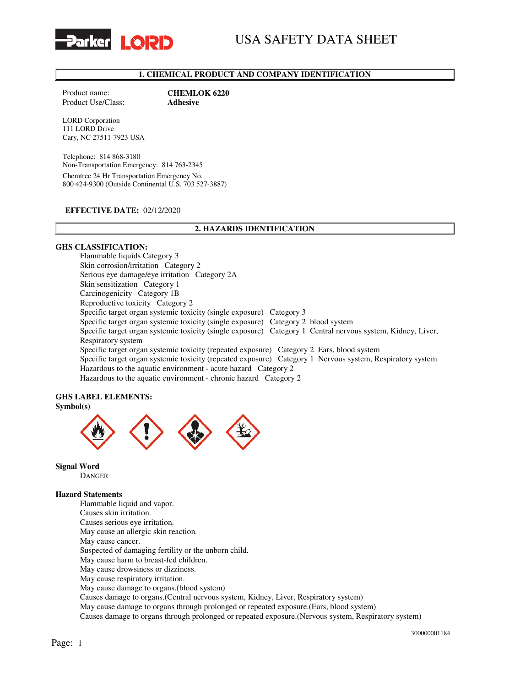

# USA SAFETY DATA SHEET

## 1. CHEMICAL PRODUCT AND COMPANY IDENTIFICATION

Product Use/Class: Adhesive

Product name: **CHEMLOK 6220** 

LORD Corporation 111 LORD Drive Cary, NC 27511-7923 USA

Telephone: 814 868-3180 Non-Transportation Emergency: 814 763-2345 Chemtrec 24 Hr Transportation Emergency No. 800 424-9300 (Outside Continental U.S. 703 527-3887)

### EFFECTIVE DATE: 02/12/2020

### 2. HAZARDS IDENTIFICATION

#### GHS CLASSIFICATION:

Flammable liquids Category 3 Skin corrosion/irritation Category 2 Serious eye damage/eye irritation Category 2A Skin sensitization Category 1 Carcinogenicity Category 1B Reproductive toxicity Category 2 Specific target organ systemic toxicity (single exposure) Category 3 Specific target organ systemic toxicity (single exposure) Category 2 blood system Specific target organ systemic toxicity (single exposure) Category 1 Central nervous system, Kidney, Liver, Respiratory system Specific target organ systemic toxicity (repeated exposure) Category 2 Ears, blood system Specific target organ systemic toxicity (repeated exposure) Category 1 Nervous system, Respiratory system Hazardous to the aquatic environment - acute hazard Category 2 Hazardous to the aquatic environment - chronic hazard Category 2

# GHS LABEL ELEMENTS:

# Symbol(s)



Signal Word

DANGER

#### Hazard Statements

Flammable liquid and vapor. Causes skin irritation. Causes serious eye irritation. May cause an allergic skin reaction. May cause cancer. Suspected of damaging fertility or the unborn child. May cause harm to breast-fed children. May cause drowsiness or dizziness. May cause respiratory irritation. May cause damage to organs.(blood system) Causes damage to organs.(Central nervous system, Kidney, Liver, Respiratory system) May cause damage to organs through prolonged or repeated exposure.(Ears, blood system) Causes damage to organs through prolonged or repeated exposure.(Nervous system, Respiratory system)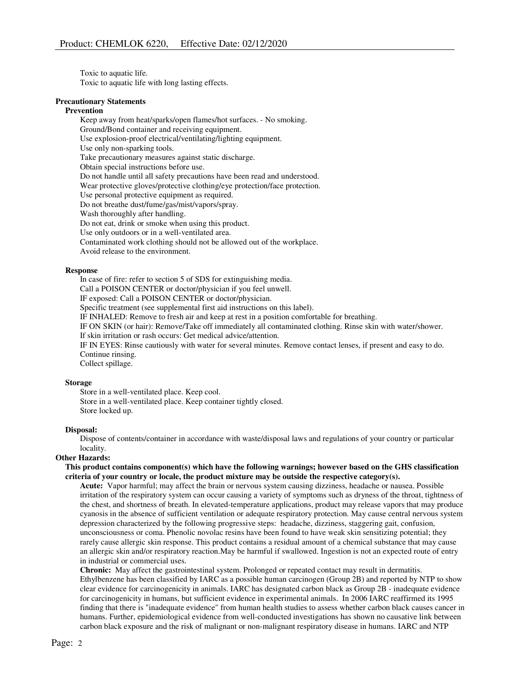Toxic to aquatic life. Toxic to aquatic life with long lasting effects.

#### Precautionary Statements

#### Prevention

Keep away from heat/sparks/open flames/hot surfaces. - No smoking. Ground/Bond container and receiving equipment. Use explosion-proof electrical/ventilating/lighting equipment. Use only non-sparking tools. Take precautionary measures against static discharge. Obtain special instructions before use. Do not handle until all safety precautions have been read and understood. Wear protective gloves/protective clothing/eye protection/face protection. Use personal protective equipment as required. Do not breathe dust/fume/gas/mist/vapors/spray. Wash thoroughly after handling. Do not eat, drink or smoke when using this product. Use only outdoors or in a well-ventilated area. Contaminated work clothing should not be allowed out of the workplace.

Avoid release to the environment.

## Response

In case of fire: refer to section 5 of SDS for extinguishing media. Call a POISON CENTER or doctor/physician if you feel unwell. IF exposed: Call a POISON CENTER or doctor/physician. Specific treatment (see supplemental first aid instructions on this label). IF INHALED: Remove to fresh air and keep at rest in a position comfortable for breathing. IF ON SKIN (or hair): Remove/Take off immediately all contaminated clothing. Rinse skin with water/shower. If skin irritation or rash occurs: Get medical advice/attention. IF IN EYES: Rinse cautiously with water for several minutes. Remove contact lenses, if present and easy to do. Continue rinsing. Collect spillage.

#### Storage

Store in a well-ventilated place. Keep cool. Store in a well-ventilated place. Keep container tightly closed. Store locked up.

#### Disposal:

Dispose of contents/container in accordance with waste/disposal laws and regulations of your country or particular locality.

## Other Hazards:

## This product contains component(s) which have the following warnings; however based on the GHS classification criteria of your country or locale, the product mixture may be outside the respective category(s).

Acute: Vapor harmful; may affect the brain or nervous system causing dizziness, headache or nausea. Possible irritation of the respiratory system can occur causing a variety of symptoms such as dryness of the throat, tightness of the chest, and shortness of breath. In elevated-temperature applications, product may release vapors that may produce cyanosis in the absence of sufficient ventilation or adequate respiratory protection. May cause central nervous system depression characterized by the following progressive steps: headache, dizziness, staggering gait, confusion, unconsciousness or coma. Phenolic novolac resins have been found to have weak skin sensitizing potential; they rarely cause allergic skin response. This product contains a residual amount of a chemical substance that may cause an allergic skin and/or respiratory reaction.May be harmful if swallowed. Ingestion is not an expected route of entry in industrial or commercial uses.

Chronic: May affect the gastrointestinal system. Prolonged or repeated contact may result in dermatitis. Ethylbenzene has been classified by IARC as a possible human carcinogen (Group 2B) and reported by NTP to show clear evidence for carcinogenicity in animals. IARC has designated carbon black as Group 2B - inadequate evidence for carcinogenicity in humans, but sufficient evidence in experimental animals. In 2006 IARC reaffirmed its 1995 finding that there is "inadequate evidence" from human health studies to assess whether carbon black causes cancer in humans. Further, epidemiological evidence from well-conducted investigations has shown no causative link between carbon black exposure and the risk of malignant or non-malignant respiratory disease in humans. IARC and NTP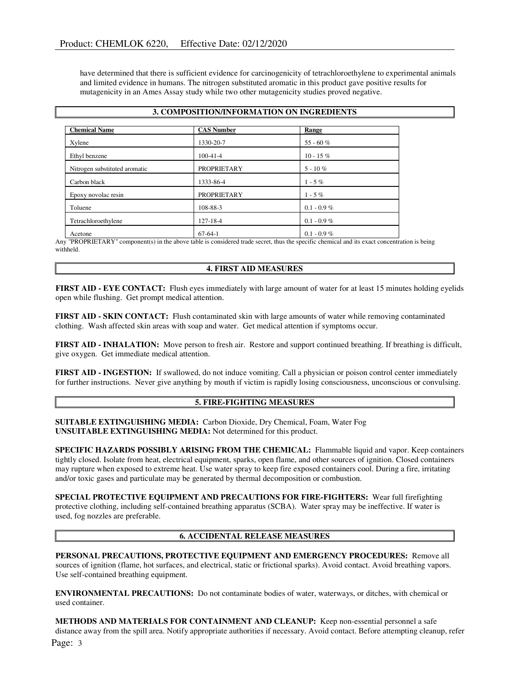have determined that there is sufficient evidence for carcinogenicity of tetrachloroethylene to experimental animals and limited evidence in humans. The nitrogen substituted aromatic in this product gave positive results for mutagenicity in an Ames Assay study while two other mutagenicity studies proved negative.

| 3. COMPOSITION/INFORMATION ON INGREDIENTS |                    |               |  |
|-------------------------------------------|--------------------|---------------|--|
| <b>Chemical Name</b>                      | <b>CAS Number</b>  | Range         |  |
| Xylene                                    | 1330-20-7          | 55 - 60 $%$   |  |
| Ethyl benzene                             | $100-41-4$         | $10 - 15\%$   |  |
| Nitrogen substituted aromatic             | <b>PROPRIETARY</b> | $5 - 10\%$    |  |
| Carbon black                              | 1333-86-4          | $1 - 5\%$     |  |
| Epoxy novolac resin                       | <b>PROPRIETARY</b> | $1 - 5\%$     |  |
| Toluene                                   | 108-88-3           | $0.1 - 0.9\%$ |  |
| Tetrachloroethylene                       | 127-18-4           | $0.1 - 0.9\%$ |  |
| Acetone                                   | $67-64-1$          | $0.1 - 0.9\%$ |  |

Any "PROPRIETARY" component(s) in the above table is considered trade secret, thus the specific chemical and its exact concentration is being withheld.

### 4. FIRST AID MEASURES

FIRST AID - EYE CONTACT: Flush eyes immediately with large amount of water for at least 15 minutes holding eyelids open while flushing. Get prompt medical attention.

FIRST AID - SKIN CONTACT: Flush contaminated skin with large amounts of water while removing contaminated clothing. Wash affected skin areas with soap and water. Get medical attention if symptoms occur.

FIRST AID - INHALATION: Move person to fresh air. Restore and support continued breathing. If breathing is difficult, give oxygen. Get immediate medical attention.

FIRST AID - INGESTION: If swallowed, do not induce vomiting. Call a physician or poison control center immediately for further instructions. Never give anything by mouth if victim is rapidly losing consciousness, unconscious or convulsing.

## 5. FIRE-FIGHTING MEASURES

SUITABLE EXTINGUISHING MEDIA: Carbon Dioxide, Dry Chemical, Foam, Water Fog UNSUITABLE EXTINGUISHING MEDIA: Not determined for this product.

SPECIFIC HAZARDS POSSIBLY ARISING FROM THE CHEMICAL: Flammable liquid and vapor. Keep containers tightly closed. Isolate from heat, electrical equipment, sparks, open flame, and other sources of ignition. Closed containers may rupture when exposed to extreme heat. Use water spray to keep fire exposed containers cool. During a fire, irritating and/or toxic gases and particulate may be generated by thermal decomposition or combustion.

SPECIAL PROTECTIVE EQUIPMENT AND PRECAUTIONS FOR FIRE-FIGHTERS: Wear full firefighting protective clothing, including self-contained breathing apparatus (SCBA). Water spray may be ineffective. If water is used, fog nozzles are preferable.

## 6. ACCIDENTAL RELEASE MEASURES

PERSONAL PRECAUTIONS, PROTECTIVE EQUIPMENT AND EMERGENCY PROCEDURES: Remove all sources of ignition (flame, hot surfaces, and electrical, static or frictional sparks). Avoid contact. Avoid breathing vapors. Use self-contained breathing equipment.

ENVIRONMENTAL PRECAUTIONS: Do not contaminate bodies of water, waterways, or ditches, with chemical or used container.

Page: 3 METHODS AND MATERIALS FOR CONTAINMENT AND CLEANUP: Keep non-essential personnel a safe distance away from the spill area. Notify appropriate authorities if necessary. Avoid contact. Before attempting cleanup, refer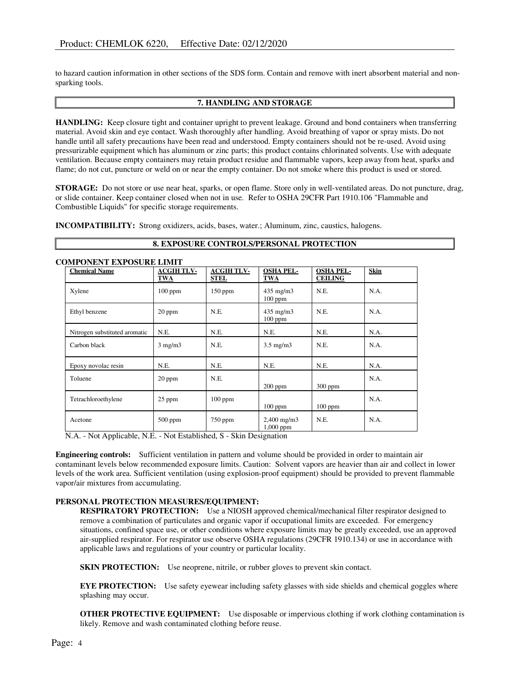to hazard caution information in other sections of the SDS form. Contain and remove with inert absorbent material and nonsparking tools.

## 7. HANDLING AND STORAGE

HANDLING: Keep closure tight and container upright to prevent leakage. Ground and bond containers when transferring material. Avoid skin and eye contact. Wash thoroughly after handling. Avoid breathing of vapor or spray mists. Do not handle until all safety precautions have been read and understood. Empty containers should not be re-used. Avoid using pressurizable equipment which has aluminum or zinc parts; this product contains chlorinated solvents. Use with adequate ventilation. Because empty containers may retain product residue and flammable vapors, keep away from heat, sparks and flame; do not cut, puncture or weld on or near the empty container. Do not smoke where this product is used or stored.

STORAGE: Do not store or use near heat, sparks, or open flame. Store only in well-ventilated areas. Do not puncture, drag, or slide container. Keep container closed when not in use. Refer to OSHA 29CFR Part 1910.106 "Flammable and Combustible Liquids" for specific storage requirements.

INCOMPATIBILITY: Strong oxidizers, acids, bases, water.; Aluminum, zinc, caustics, halogens.

### 8. EXPOSURE CONTROLS/PERSONAL PROTECTION

| <b>Chemical Name</b>          | <b>ACGIH TLV-</b><br>TWA | <b>ACGIH TLV-</b><br>STEL | <b>OSHA PEL-</b><br>TWA             | <b>OSHA PEL-</b><br><b>CEILING</b> | Skin |
|-------------------------------|--------------------------|---------------------------|-------------------------------------|------------------------------------|------|
| Xylene                        | $100$ ppm                | $150$ ppm                 | $435 \text{ mg/m}$<br>$100$ ppm     | N.E.                               | N.A. |
| Ethyl benzene                 | $20$ ppm                 | N.E.                      | $435 \text{ mg/m}$<br>$100$ ppm     | N.E.                               | N.A. |
| Nitrogen substituted aromatic | N.E.                     | N.E.                      | N.E.                                | N.E.                               | N.A. |
| Carbon black                  | $3$ mg/m $3$             | N.E.                      | $3.5 \text{ mg/m}$                  | N.E.                               | N.A. |
| Epoxy novolac resin           | N.E.                     | N.E.                      | N.E.                                | N.E.                               | N.A. |
| Toluene                       | $20$ ppm                 | N.E.                      | $200$ ppm                           | $300$ ppm                          | N.A. |
| Tetrachloroethylene           | 25 ppm                   | $100$ ppm                 | $100$ ppm                           | $100$ ppm                          | N.A. |
| Acetone                       | 500 ppm                  | $750$ ppm                 | $2,400 \text{ mg/m}$<br>$1,000$ ppm | N.E.                               | N.A. |

### COMPONENT EXPOSURE LIMIT

N.A. - Not Applicable, N.E. - Not Established, S - Skin Designation

Engineering controls: Sufficient ventilation in pattern and volume should be provided in order to maintain air contaminant levels below recommended exposure limits. Caution: Solvent vapors are heavier than air and collect in lower levels of the work area. Sufficient ventilation (using explosion-proof equipment) should be provided to prevent flammable vapor/air mixtures from accumulating.

#### PERSONAL PROTECTION MEASURES/EQUIPMENT:

RESPIRATORY PROTECTION: Use a NIOSH approved chemical/mechanical filter respirator designed to remove a combination of particulates and organic vapor if occupational limits are exceeded. For emergency situations, confined space use, or other conditions where exposure limits may be greatly exceeded, use an approved air-supplied respirator. For respirator use observe OSHA regulations (29CFR 1910.134) or use in accordance with applicable laws and regulations of your country or particular locality.

SKIN PROTECTION: Use neoprene, nitrile, or rubber gloves to prevent skin contact.

EYE PROTECTION: Use safety eyewear including safety glasses with side shields and chemical goggles where splashing may occur.

OTHER PROTECTIVE EQUIPMENT: Use disposable or impervious clothing if work clothing contamination is likely. Remove and wash contaminated clothing before reuse.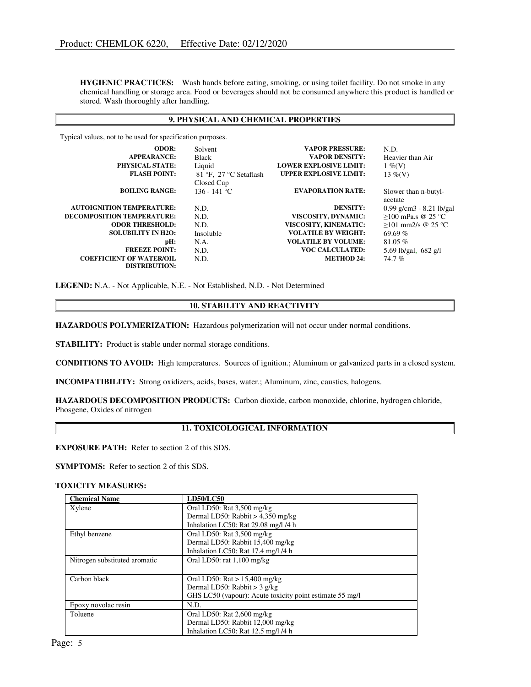HYGIENIC PRACTICES: Wash hands before eating, smoking, or using toilet facility. Do not smoke in any chemical handling or storage area. Food or beverages should not be consumed anywhere this product is handled or stored. Wash thoroughly after handling.

## 9. PHYSICAL AND CHEMICAL PROPERTIES

Typical values, not to be used for specification purposes.

| <b>ODOR:</b>                      | Solvent                | <b>VAPOR PRESSURE:</b>        | N.D.                       |
|-----------------------------------|------------------------|-------------------------------|----------------------------|
| <b>APPEARANCE:</b>                | <b>Black</b>           | <b>VAPOR DENSITY:</b>         | Heavier than Air           |
| <b>PHYSICAL STATE:</b>            | Liquid                 | <b>LOWER EXPLOSIVE LIMIT:</b> | $1\%$ (V)                  |
| <b>FLASH POINT:</b>               | 81 °F. 27 °C Setaflash | <b>UPPER EXPLOSIVE LIMIT:</b> | 13 %(V)                    |
|                                   | Closed Cup             |                               |                            |
| <b>BOILING RANGE:</b>             | $136 - 141$ °C         | <b>EVAPORATION RATE:</b>      | Slower than n-butyl-       |
|                                   |                        |                               | acetate                    |
| <b>AUTOIGNITION TEMPERATURE:</b>  | N.D.                   | <b>DENSITY:</b>               | $0.99$ g/cm3 - 8.21 lb/gal |
| <b>DECOMPOSITION TEMPERATURE:</b> | N.D.                   | VISCOSITY, DYNAMIC:           | $>100$ mPa.s @ 25 °C       |
| <b>ODOR THRESHOLD:</b>            | N.D.                   | VISCOSITY, KINEMATIC:         | >101 mm2/s @ 25 °C         |
| <b>SOLUBILITY IN H2O:</b>         | Insoluble              | <b>VOLATILE BY WEIGHT:</b>    | 69.69 $%$                  |
| pH:                               | N.A.                   | <b>VOLATILE BY VOLUME:</b>    | 81.05 %                    |
| <b>FREEZE POINT:</b>              | N.D.                   | <b>VOC CALCULATED:</b>        | 5.69 lb/gal, $682$ g/l     |
| <b>COEFFICIENT OF WATER/OIL</b>   | N.D.                   | <b>METHOD 24:</b>             | 74.7%                      |
| <b>DISTRIBUTION:</b>              |                        |                               |                            |

LEGEND: N.A. - Not Applicable, N.E. - Not Established, N.D. - Not Determined

## 10. STABILITY AND REACTIVITY

HAZARDOUS POLYMERIZATION: Hazardous polymerization will not occur under normal conditions.

STABILITY: Product is stable under normal storage conditions.

CONDITIONS TO AVOID: High temperatures. Sources of ignition.; Aluminum or galvanized parts in a closed system.

INCOMPATIBILITY: Strong oxidizers, acids, bases, water.; Aluminum, zinc, caustics, halogens.

HAZARDOUS DECOMPOSITION PRODUCTS: Carbon dioxide, carbon monoxide, chlorine, hydrogen chloride, Phosgene, Oxides of nitrogen

## 11. TOXICOLOGICAL INFORMATION

EXPOSURE PATH: Refer to section 2 of this SDS.

SYMPTOMS: Refer to section 2 of this SDS.

#### TOXICITY MEASURES:

| <b>Chemical Name</b>          | <b>LD50/LC50</b>                                         |  |
|-------------------------------|----------------------------------------------------------|--|
| Xylene                        | Oral LD50: Rat 3,500 mg/kg                               |  |
|                               | Dermal LD50: Rabbit $> 4,350$ mg/kg                      |  |
|                               | Inhalation LC50: Rat 29.08 mg/l /4 h                     |  |
| Ethyl benzene                 | Oral LD50: Rat $3,500$ mg/kg                             |  |
|                               | Dermal LD50: Rabbit 15,400 mg/kg                         |  |
|                               | Inhalation LC50: Rat 17.4 mg/l /4 h                      |  |
| Nitrogen substituted aromatic | Oral LD50: rat $1,100$ mg/kg                             |  |
|                               |                                                          |  |
| Carbon black                  | Oral LD50: $\text{Rat} > 15,400 \text{ mg/kg}$           |  |
|                               | Dermal LD50: Rabbit $>$ 3 g/kg                           |  |
|                               | GHS LC50 (vapour): Acute toxicity point estimate 55 mg/l |  |
| Epoxy novolac resin           | N.D.                                                     |  |
| Toluene                       | Oral LD50: Rat 2,600 mg/kg                               |  |
|                               | Dermal LD50: Rabbit 12,000 mg/kg                         |  |
|                               | Inhalation LC50: Rat 12.5 mg/l /4 h                      |  |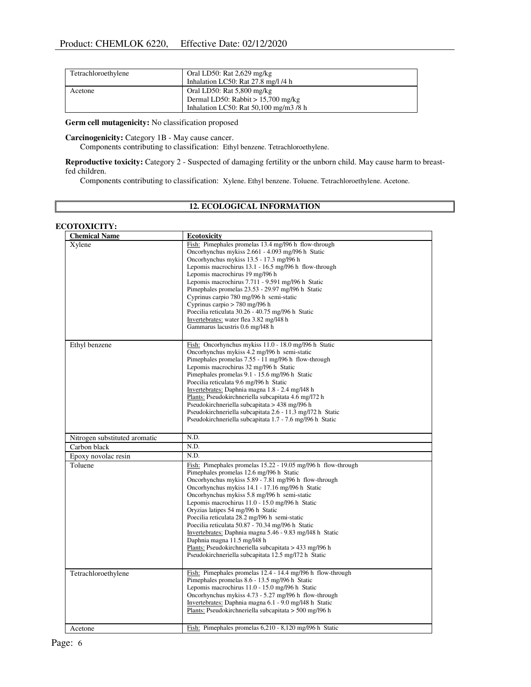| Tetrachloroethylene | Oral LD50: Rat $2,629$ mg/kg<br>Inhalation LC50: Rat 27.8 mg/l /4 h  |
|---------------------|----------------------------------------------------------------------|
| Acetone             | Oral LD50: Rat $5,800$ mg/kg<br>Dermal LD50: Rabbit $> 15,700$ mg/kg |
|                     | Inhalation LC50: Rat $50,100$ mg/m3 /8 h                             |

Germ cell mutagenicity: No classification proposed

Carcinogenicity: Category 1B - May cause cancer.

Components contributing to classification: Ethyl benzene. Tetrachloroethylene.

Reproductive toxicity: Category 2 - Suspected of damaging fertility or the unborn child. May cause harm to breastfed children.

Components contributing to classification: Xylene. Ethyl benzene. Toluene. Tetrachloroethylene. Acetone.

# 12. ECOLOGICAL INFORMATION

# ECOTOXICITY:

| <b>Chemical Name</b>          | <b>Ecotoxicity</b>                                                                      |
|-------------------------------|-----------------------------------------------------------------------------------------|
| Xylene                        | Fish: Pimephales promelas 13.4 mg/l96 h flow-through                                    |
|                               | Oncorhynchus mykiss 2.661 - 4.093 mg/l96 h Static                                       |
|                               | Oncorhynchus mykiss 13.5 - 17.3 mg/l96 h                                                |
|                               | Lepomis macrochirus 13.1 - 16.5 mg/l96 h flow-through                                   |
|                               | Lepomis macrochirus 19 mg/196 h                                                         |
|                               | Lepomis macrochirus 7.711 - 9.591 mg/l96 h Static                                       |
|                               | Pimephales promelas 23.53 - 29.97 mg/l96 h Static                                       |
|                               | Cyprinus carpio 780 mg/196 h semi-static                                                |
|                               | Cyprinus carpio > 780 mg/l96 h<br>Poecilia reticulata 30.26 - 40.75 mg/l96 h Static     |
|                               | Invertebrates: water flea 3.82 mg/l48 h                                                 |
|                               | Gammarus lacustris 0.6 mg/l48 h                                                         |
|                               |                                                                                         |
| Ethyl benzene                 | Fish: Oncorhynchus mykiss 11.0 - 18.0 mg/l96 h Static                                   |
|                               | Oncorhynchus mykiss 4.2 mg/196 h semi-static                                            |
|                               | Pimephales promelas 7.55 - 11 mg/l96 h flow-through                                     |
|                               | Lepomis macrochirus 32 mg/196 h Static                                                  |
|                               | Pimephales promelas 9.1 - 15.6 mg/l96 h Static                                          |
|                               | Poecilia reticulata 9.6 mg/196 h Static                                                 |
|                               | Invertebrates: Daphnia magna 1.8 - 2.4 mg/l48 h                                         |
|                               | Plants: Pseudokirchneriella subcapitata 4.6 mg/l72 h                                    |
|                               | Pseudokirchneriella subcapitata > 438 mg/l96 h                                          |
|                               | Pseudokirchneriella subcapitata 2.6 - 11.3 mg/l72 h Static                              |
|                               | Pseudokirchneriella subcapitata 1.7 - 7.6 mg/196 h Static                               |
| Nitrogen substituted aromatic | N.D.                                                                                    |
| Carbon black                  | N.D.                                                                                    |
| Epoxy novolac resin           | N.D.                                                                                    |
| Toluene                       | Fish: Pimephales promelas 15.22 - 19.05 mg/l96 h flow-through                           |
|                               | Pimephales promelas 12.6 mg/l96 h Static                                                |
|                               | Oncorhynchus mykiss 5.89 - 7.81 mg/196 h flow-through                                   |
|                               | Oncorhynchus mykiss 14.1 - 17.16 mg/l96 h Static                                        |
|                               | Oncorhynchus mykiss 5.8 mg/196 h semi-static                                            |
|                               | Lepomis macrochirus 11.0 - 15.0 mg/l96 h Static                                         |
|                               | Oryzias latipes 54 mg/196 h Static                                                      |
|                               | Poecilia reticulata 28.2 mg/l96 h semi-static                                           |
|                               | Poecilia reticulata 50.87 - 70.34 mg/l96 h Static                                       |
|                               | Invertebrates: Daphnia magna 5.46 - 9.83 mg/148 h Static<br>Daphnia magna 11.5 mg/l48 h |
|                               | Plants: Pseudokirchneriella subcapitata > 433 mg/l96 h                                  |
|                               | Pseudokirchneriella subcapitata 12.5 mg/l72 h Static                                    |
|                               |                                                                                         |
| Tetrachloroethylene           | Fish: Pimephales promelas 12.4 - 14.4 mg/l96 h flow-through                             |
|                               | Pimephales promelas 8.6 - 13.5 mg/l96 h Static                                          |
|                               | Lepomis macrochirus 11.0 - 15.0 mg/l96 h Static                                         |
|                               | Oncorhynchus mykiss 4.73 - 5.27 mg/l96 h flow-through                                   |
|                               | Invertebrates: Daphnia magna 6.1 - 9.0 mg/l48 h Static                                  |
|                               | Plants: Pseudokirchneriella subcapitata $>$ 500 mg/l96 h                                |
|                               |                                                                                         |
| Acetone                       | Fish: Pimephales promelas 6,210 - 8,120 mg/l96 h Static                                 |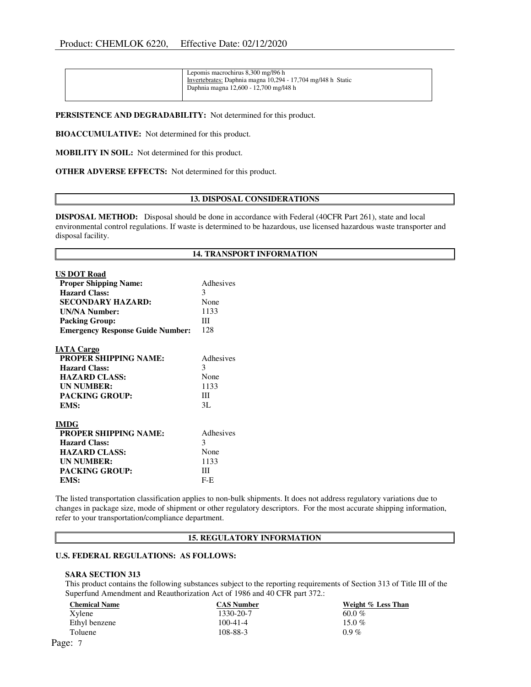| Lepomis macrochirus 8,300 mg/l96 h<br>Invertebrates: Daphnia magna 10,294 - 17,704 mg/l48 h Static<br>Daphnia magna 12,600 - 12,700 mg/l48 h |  |
|----------------------------------------------------------------------------------------------------------------------------------------------|--|
|----------------------------------------------------------------------------------------------------------------------------------------------|--|

PERSISTENCE AND DEGRADABILITY: Not determined for this product.

BIOACCUMULATIVE: Not determined for this product.

MOBILITY IN SOIL: Not determined for this product.

OTHER ADVERSE EFFECTS: Not determined for this product.

#### 13. DISPOSAL CONSIDERATIONS

DISPOSAL METHOD: Disposal should be done in accordance with Federal (40CFR Part 261), state and local environmental control regulations. If waste is determined to be hazardous, use licensed hazardous waste transporter and disposal facility.

### 14. TRANSPORT INFORMATION

| <b>US DOT Road</b>                      |           |
|-----------------------------------------|-----------|
| <b>Proper Shipping Name:</b>            | Adhesiyes |
| <b>Hazard Class:</b>                    | 3         |
| <b>SECONDARY HAZARD:</b>                | None      |
| <b>UN/NA Number:</b>                    | 1133      |
| <b>Packing Group:</b>                   | Ш         |
| <b>Emergency Response Guide Number:</b> | 128       |
| <b>IATA Cargo</b>                       |           |
| <b>PROPER SHIPPING NAME:</b>            | Adhesives |
| <b>Hazard Class:</b>                    | 3         |
| <b>HAZARD CLASS:</b>                    | None      |
| <b>UN NUMBER:</b>                       | 1133      |
| <b>PACKING GROUP:</b>                   | Ш         |
| EMS:                                    | 3L        |
| <b>IMDG</b>                             |           |
| <b>PROPER SHIPPING NAME:</b>            | Adhesives |
| <b>Hazard Class:</b>                    | 3         |
| <b>HAZARD CLASS:</b>                    | None      |
| <b>UN NUMBER:</b>                       | 1133      |
| <b>PACKING GROUP:</b>                   | Ш         |
| EMS:                                    | $F-E$     |

The listed transportation classification applies to non-bulk shipments. It does not address regulatory variations due to changes in package size, mode of shipment or other regulatory descriptors. For the most accurate shipping information, refer to your transportation/compliance department.

#### 15. REGULATORY INFORMATION

#### U.S. FEDERAL REGULATIONS: AS FOLLOWS:

#### SARA SECTION 313

This product contains the following substances subject to the reporting requirements of Section 313 of Title III of the Superfund Amendment and Reauthorization Act of 1986 and 40 CFR part 372.:

| <b>Chemical Name</b> | <b>CAS Number</b> | Weight % Less Than |
|----------------------|-------------------|--------------------|
| Xvlene               | 1330-20-7         | $60.0\%$           |
| Ethyl benzene        | $100 - 41 - 4$    | 15.0 $%$           |
| Toluene              | 108-88-3          | $0.9\%$            |
| Page: 7              |                   |                    |